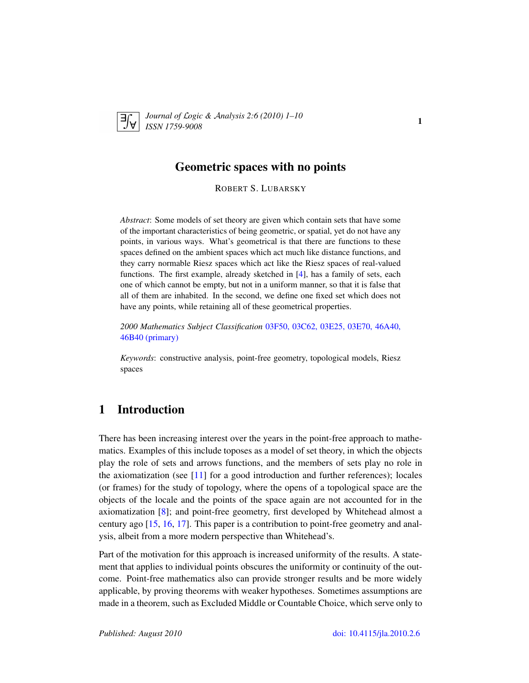

*Journal of* L*ogic &* A*nalysis 2:6 (2010) 1–10 ISSN 1759-9008* 1

#### Geometric spaces with no points

ROBERT S. LUBARSKY

*Abstract*: Some models of set theory are given which contain sets that have some of the important characteristics of being geometric, or spatial, yet do not have any points, in various ways. What's geometrical is that there are functions to these spaces defined on the ambient spaces which act much like distance functions, and they carry normable Riesz spaces which act like the Riesz spaces of real-valued functions. The first example, already sketched in [\[4\]](#page-8-0), has a family of sets, each one of which cannot be empty, but not in a uniform manner, so that it is false that all of them are inhabited. In the second, we define one fixed set which does not have any points, while retaining all of these geometrical properties.

*2000 Mathematics Subject Classification* [03F50, 03C62, 03E25, 03E70, 46A40,](http://www.ams.org/mathscinet/search/mscdoc.html?code=03F50, 03C62, 03E25, 03E70, 46A40, 46B40) [46B40 \(primary\)](http://www.ams.org/mathscinet/search/mscdoc.html?code=03F50, 03C62, 03E25, 03E70, 46A40, 46B40)

*Keywords*: constructive analysis, point-free geometry, topological models, Riesz spaces

# 1 Introduction

There has been increasing interest over the years in the point-free approach to mathematics. Examples of this include toposes as a model of set theory, in which the objects play the role of sets and arrows functions, and the members of sets play no role in the axiomatization (see [\[11\]](#page-9-0) for a good introduction and further references); locales (or frames) for the study of topology, where the opens of a topological space are the objects of the locale and the points of the space again are not accounted for in the axiomatization [\[8\]](#page-9-1); and point-free geometry, first developed by Whitehead almost a century ago [\[15,](#page-9-2) [16,](#page-9-3) [17\]](#page-9-4). This paper is a contribution to point-free geometry and analysis, albeit from a more modern perspective than Whitehead's.

Part of the motivation for this approach is increased uniformity of the results. A statement that applies to individual points obscures the uniformity or continuity of the outcome. Point-free mathematics also can provide stronger results and be more widely applicable, by proving theorems with weaker hypotheses. Sometimes assumptions are made in a theorem, such as Excluded Middle or Countable Choice, which serve only to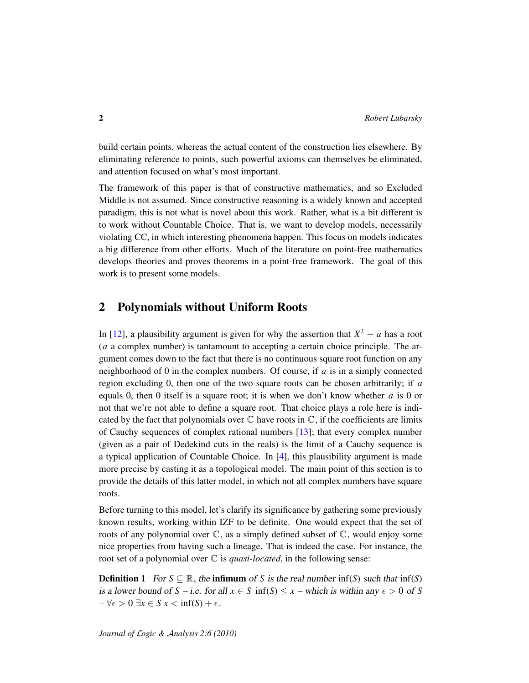build certain points, whereas the actual content of the construction lies elsewhere. By eliminating reference to points, such powerful axioms can themselves be eliminated, and attention focused on what's most important.

The framework of this paper is that of constructive mathematics, and so Excluded Middle is not assumed. Since constructive reasoning is a widely known and accepted paradigm, this is not what is novel about this work. Rather, what is a bit different is to work without Countable Choice. That is, we want to develop models, necessarily violating CC, in which interesting phenomena happen. This focus on models indicates a big difference from other efforts. Much of the literature on point-free mathematics develops theories and proves theorems in a point-free framework. The goal of this work is to present some models.

### 2 Polynomials without Uniform Roots

In [\[12\]](#page-9-5), a plausibility argument is given for why the assertion that  $X^2 - a$  has a root (*a* a complex number) is tantamount to accepting a certain choice principle. The argument comes down to the fact that there is no continuous square root function on any neighborhood of 0 in the complex numbers. Of course, if *a* is in a simply connected region excluding 0, then one of the two square roots can be chosen arbitrarily; if *a* equals 0, then 0 itself is a square root; it is when we don't know whether *a* is 0 or not that we're not able to define a square root. That choice plays a role here is indicated by the fact that polynomials over  $\mathbb C$  have roots in  $\mathbb C$ , if the coefficients are limits of Cauchy sequences of complex rational numbers [\[13\]](#page-9-6); that every complex number (given as a pair of Dedekind cuts in the reals) is the limit of a Cauchy sequence is a typical application of Countable Choice. In [\[4\]](#page-8-0), this plausibility argument is made more precise by casting it as a topological model. The main point of this section is to provide the details of this latter model, in which not all complex numbers have square roots.

Before turning to this model, let's clarify its significance by gathering some previously known results, working within IZF to be definite. One would expect that the set of roots of any polynomial over  $\mathbb{C}$ , as a simply defined subset of  $\mathbb{C}$ , would enjoy some nice properties from having such a lineage. That is indeed the case. For instance, the root set of a polynomial over C is *quasi-located*, in the following sense:

**Definition 1** For  $S \subseteq \mathbb{R}$ , the **infimum** of *S* is the real number inf(*S*) such that inf(*S*) is a lower bound of *S* – i.e. for all  $x \in S$  inf(*S*)  $\leq x$  – which is within any  $\epsilon > 0$  of *S*  $-\forall \epsilon > 0 \ \exists x \in S \ x < \inf(S) + \epsilon.$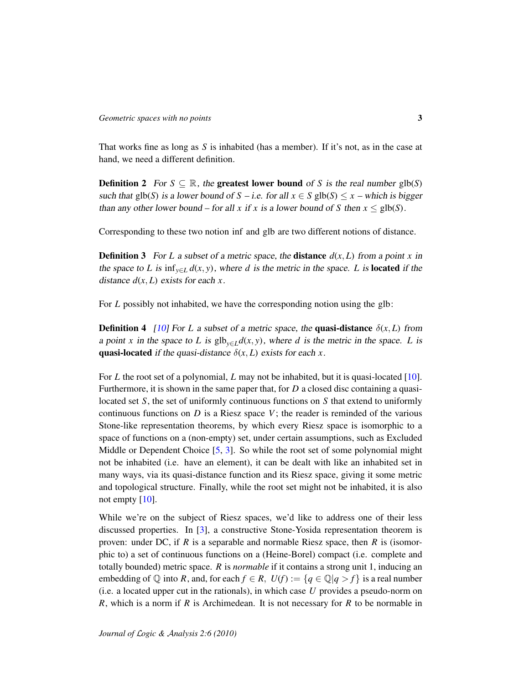That works fine as long as *S* is inhabited (has a member). If it's not, as in the case at hand, we need a different definition.

**Definition 2** For  $S \subseteq \mathbb{R}$ , the **greatest lower bound** of *S* is the real number glb(*S*) such that glb(*S*) is a lower bound of *S* – i.e. for all  $x \in S$  glb(*S*)  $\leq x$  – which is bigger than any other lower bound – for all *x* if *x* is a lower bound of *S* then  $x \le$  glb(*S*).

Corresponding to these two notion inf and glb are two different notions of distance.

**Definition 3** For *L* a subset of a metric space, the **distance**  $d(x, L)$  from a point *x* in the space to *L* is  $\inf_{y \in L} d(x, y)$ , where *d* is the metric in the space. *L* is **located** if the distance  $d(x, L)$  exists for each  $x$ .

For *L* possibly not inhabited, we have the corresponding notion using the glb:

**Definition 4** [\[10\]](#page-9-7) For *L* a subset of a metric space, the **quasi-distance**  $\delta(x, L)$  from a point *x* in the space to *L* is  $\text{glb}_{y \in L} d(x, y)$ , where *d* is the metric in the space. *L* is quasi-located if the quasi-distance  $\delta(x, L)$  exists for each *x*.

For *L* the root set of a polynomial, *L* may not be inhabited, but it is quasi-located [\[10\]](#page-9-7). Furthermore, it is shown in the same paper that, for *D* a closed disc containing a quasilocated set *S*, the set of uniformly continuous functions on *S* that extend to uniformly continuous functions on  $D$  is a Riesz space  $V$ ; the reader is reminded of the various Stone-like representation theorems, by which every Riesz space is isomorphic to a space of functions on a (non-empty) set, under certain assumptions, such as Excluded Middle or Dependent Choice [\[5,](#page-8-1) [3\]](#page-8-2). So while the root set of some polynomial might not be inhabited (i.e. have an element), it can be dealt with like an inhabited set in many ways, via its quasi-distance function and its Riesz space, giving it some metric and topological structure. Finally, while the root set might not be inhabited, it is also not empty [\[10\]](#page-9-7).

While we're on the subject of Riesz spaces, we'd like to address one of their less discussed properties. In [\[3\]](#page-8-2), a constructive Stone-Yosida representation theorem is proven: under DC, if *R* is a separable and normable Riesz space, then *R* is (isomorphic to) a set of continuous functions on a (Heine-Borel) compact (i.e. complete and totally bounded) metric space. *R* is *normable* if it contains a strong unit 1, inducing an embedding of  $\mathbb Q$  into *R*, and, for each  $f \in R$ ,  $U(f) := \{q \in \mathbb Q | q > f\}$  is a real number (i.e. a located upper cut in the rationals), in which case *U* provides a pseudo-norm on *R*, which is a norm if *R* is Archimedean. It is not necessary for *R* to be normable in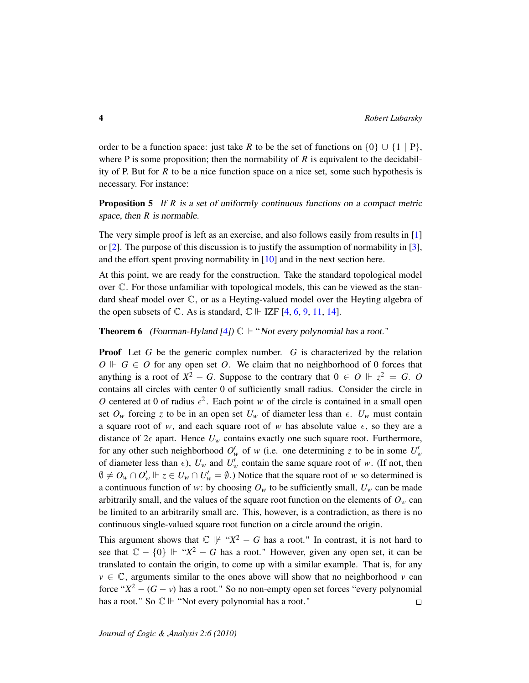order to be a function space: just take *R* to be the set of functions on  $\{0\} \cup \{1 | P\}$ , where P is some proposition; then the normability of R is equivalent to the decidability of P. But for *R* to be a nice function space on a nice set, some such hypothesis is necessary. For instance:

**Proposition 5** If *R* is a set of uniformly continuous functions on a compact metric space, then *R* is normable.

The very simple proof is left as an exercise, and also follows easily from results in [\[1\]](#page-8-3) or [\[2\]](#page-8-4). The purpose of this discussion is to justify the assumption of normability in [\[3\]](#page-8-2), and the effort spent proving normability in [\[10\]](#page-9-7) and in the next section here.

At this point, we are ready for the construction. Take the standard topological model over C. For those unfamiliar with topological models, this can be viewed as the standard sheaf model over  $\mathbb{C}$ , or as a Heyting-valued model over the Heyting algebra of the open subsets of  $\mathbb{C}$ . As is standard,  $\mathbb{C} \Vdash \text{IZF}[4, 6, 9, 11, 14]$  $\mathbb{C} \Vdash \text{IZF}[4, 6, 9, 11, 14]$  $\mathbb{C} \Vdash \text{IZF}[4, 6, 9, 11, 14]$  $\mathbb{C} \Vdash \text{IZF}[4, 6, 9, 11, 14]$  $\mathbb{C} \Vdash \text{IZF}[4, 6, 9, 11, 14]$  $\mathbb{C} \Vdash \text{IZF}[4, 6, 9, 11, 14]$  $\mathbb{C} \Vdash \text{IZF}[4, 6, 9, 11, 14]$  $\mathbb{C} \Vdash \text{IZF}[4, 6, 9, 11, 14]$  $\mathbb{C} \Vdash \text{IZF}[4, 6, 9, 11, 14]$  $\mathbb{C} \Vdash \text{IZF}[4, 6, 9, 11, 14]$ .

**Theorem 6** (Fourman-Hyland [\[4\]](#page-8-0))  $\mathbb{C} \Vdash$  "Not every polynomial has a root."

**Proof** Let G be the generic complex number. G is characterized by the relation  $O \Vdash G \in O$  for any open set *O*. We claim that no neighborhood of 0 forces that anything is a root of  $X^2 - G$ . Suppose to the contrary that  $0 \in O \Vdash z^2 = G$ . O contains all circles with center 0 of sufficiently small radius. Consider the circle in O centered at 0 of radius  $\epsilon^2$ . Each point *w* of the circle is contained in a small open set  $O_w$  forcing *z* to be in an open set  $U_w$  of diameter less than  $\epsilon$ .  $U_w$  must contain a square root of *w*, and each square root of *w* has absolute value  $\epsilon$ , so they are a distance of  $2\epsilon$  apart. Hence  $U_w$  contains exactly one such square root. Furthermore, for any other such neighborhood  $O'_w$  of w (i.e. one determining *z* to be in some  $U'_w$ of diameter less than  $\epsilon$ ),  $U_w$  and  $U'_w$  contain the same square root of *w*. (If not, then  $\emptyset \neq O_w \cap O'_w \Vdash z \in U_w \cap U'_w = \emptyset$ .) Notice that the square root of *w* so determined is a continuous function of *w*: by choosing  $O<sub>w</sub>$  to be sufficiently small,  $U<sub>w</sub>$  can be made arbitrarily small, and the values of the square root function on the elements of  $O<sub>w</sub>$  can be limited to an arbitrarily small arc. This, however, is a contradiction, as there is no continuous single-valued square root function on a circle around the origin.

This argument shows that  $\mathbb{C} \not\Vdash "X^2 - G$  has a root." In contrast, it is not hard to see that  $\mathbb{C} - \{0\} \Vdash "X^2 - G$  has a root." However, given any open set, it can be translated to contain the origin, to come up with a similar example. That is, for any  $v \in \mathbb{C}$ , arguments similar to the ones above will show that no neighborhood *v* can force " $X^2 - (G - v)$  has a root." So no non-empty open set forces "every polynomial" has a root." So  $\mathbb{C} \Vdash$  "Not every polynomial has a root."  $\Box$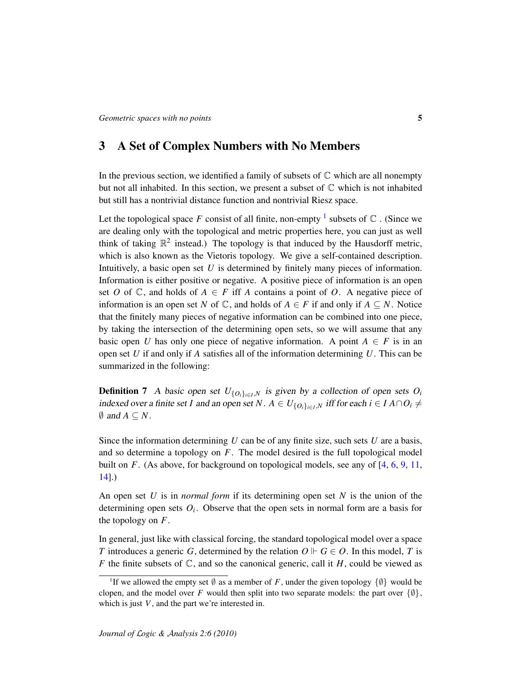## 3 A Set of Complex Numbers with No Members

In the previous section, we identified a family of subsets of  $\mathbb C$  which are all nonempty but not all inhabited. In this section, we present a subset of  $\mathbb C$  which is not inhabited but still has a nontrivial distance function and nontrivial Riesz space.

Let the topological space F consist of all finite, non-empty  $^1$  $^1$  subsets of  $\mathbb C$  . (Since we are dealing only with the topological and metric properties here, you can just as well think of taking  $\mathbb{R}^2$  instead.) The topology is that induced by the Hausdorff metric, which is also known as the Vietoris topology. We give a self-contained description. Intuitively, a basic open set *U* is determined by finitely many pieces of information. Information is either positive or negative. A positive piece of information is an open set *O* of  $\mathbb{C}$ , and holds of  $A \in F$  iff *A* contains a point of *O*. A negative piece of information is an open set *N* of  $\mathbb{C}$ , and holds of  $A \in F$  if and only if  $A \subseteq N$ . Notice that the finitely many pieces of negative information can be combined into one piece, by taking the intersection of the determining open sets, so we will assume that any basic open *U* has only one piece of negative information. A point  $A \in F$  is in an open set *U* if and only if *A* satisfies all of the information determining *U*. This can be summarized in the following:

**Definition 7** A basic open set  $U_{\{O_i\}_{i \in I}, N}$  is given by a collection of open sets  $O_i$ indexed over a finite set *I* and an open set *N*.  $A \in U_{\{O_i\}_{i \in I} \cup N}$  iff for each  $i \in I A \cap O_i \neq \emptyset$  $\emptyset$  and  $A \subseteq N$ .

Since the information determining *U* can be of any finite size, such sets *U* are a basis, and so determine a topology on *F*. The model desired is the full topological model built on *F*. (As above, for background on topological models, see any of [\[4,](#page-8-0) [6,](#page-8-5) [9,](#page-9-8) [11,](#page-9-0) [14\]](#page-9-9).)

An open set *U* is in *normal form* if its determining open set *N* is the union of the determining open sets  $O_i$ . Observe that the open sets in normal form are a basis for the topology on *F*.

In general, just like with classical forcing, the standard topological model over a space *T* introduces a generic *G*, determined by the relation  $O \vdash G \in O$ . In this model, *T* is *F* the finite subsets of  $\mathbb{C}$ , and so the canonical generic, call it *H*, could be viewed as

<span id="page-4-0"></span><sup>&</sup>lt;sup>1</sup>If we allowed the empty set  $\emptyset$  as a member of F, under the given topology  $\{\emptyset\}$  would be clopen, and the model over *F* would then split into two separate models: the part over  $\{\emptyset\},\$ which is just *V* , and the part we're interested in.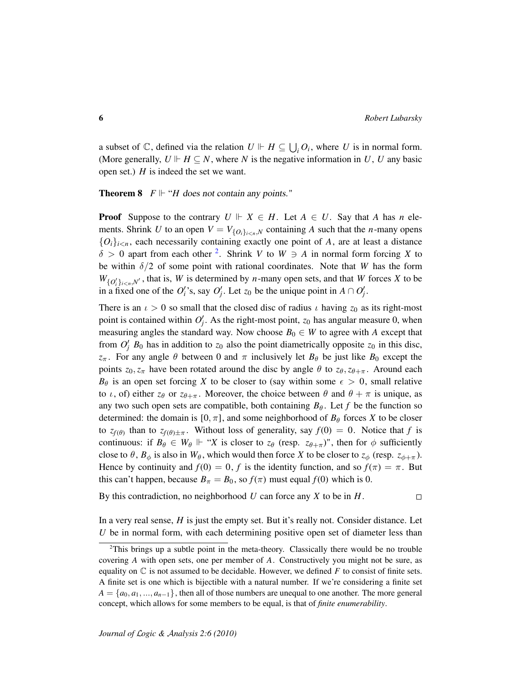a subset of  $\mathbb{C}$ , defined via the relation  $U \Vdash H \subseteq \bigcup_i O_i$ , where *U* is in normal form. (More generally,  $U \rvert H \subseteq N$ , where *N* is the negative information in *U*, *U* any basic open set.) *H* is indeed the set we want.

**Theorem 8**  $F \Vdash "H$  does not contain any points."

**Proof** Suppose to the contrary  $U \Vdash X \in H$ . Let  $A \in U$ . Say that *A* has *n* elements. Shrink *U* to an open  $V = V_{\{O_i\}_{i \le n,N}}$  containing *A* such that the *n*-many opens  ${O_i}_{i \leq n}$ , each necessarily containing exactly one point of *A*, are at least a distance  $\delta > 0$  apart from each other <sup>[2](#page-5-0)</sup>. Shrink *V* to *W*  $\supseteq$  *A* in normal form forcing *X* to be within  $\delta/2$  of some point with rational coordinates. Note that *W* has the form  $W_{\{O_i'\}_{i\leq n},N'}$ , that is, *W* is determined by *n*-many open sets, and that *W* forces *X* to be in a fixed one of the  $O_i'$ 's, say  $O_j'$ . Let  $z_0$  be the unique point in  $A \cap O_j'$ .

There is an  $\iota > 0$  so small that the closed disc of radius  $\iota$  having  $z_0$  as its right-most point is contained within  $O'_j$ . As the right-most point,  $z_0$  has angular measure 0, when measuring angles the standard way. Now choose  $B_0 \in W$  to agree with A except that from  $O'_j$   $B_0$  has in addition to  $z_0$  also the point diametrically opposite  $z_0$  in this disc, *z*<sub>π</sub>. For any angle  $\theta$  between 0 and  $\pi$  inclusively let  $B_{\theta}$  be just like  $B_0$  except the points  $z_0$ ,  $z_\pi$  have been rotated around the disc by angle  $\theta$  to  $z_\theta$ ,  $z_{\theta+\pi}$ . Around each  $B_{\theta}$  is an open set forcing *X* to be closer to (say within some  $\epsilon > 0$ , small relative to *ι*, of) either  $z_{\theta}$  or  $z_{\theta+\pi}$ . Moreover, the choice between  $\theta$  and  $\theta + \pi$  is unique, as any two such open sets are compatible, both containing  $B_{\theta}$ . Let *f* be the function so determined: the domain is  $[0, \pi]$ , and some neighborhood of  $B_\theta$  forces *X* to be closer to  $z_{f(\theta)}$  than to  $z_{f(\theta)} \pm \pi$ . Without loss of generality, say  $f(0) = 0$ . Notice that f is continuous: if  $B_{\theta} \in W_{\theta} \Vdash "X$  is closer to  $z_{\theta}$  (resp.  $z_{\theta+\pi}$ )", then for  $\phi$  sufficiently close to  $\theta$ ,  $B_{\phi}$  is also in  $W_{\theta}$ , which would then force *X* to be closer to  $z_{\phi}$  (resp.  $z_{\phi+\pi}$ ). Hence by continuity and  $f(0) = 0$ , *f* is the identity function, and so  $f(\pi) = \pi$ . But this can't happen, because  $B_\pi = B_0$ , so  $f(\pi)$  must equal  $f(0)$  which is 0.

By this contradiction, no neighborhood *U* can force any *X* to be in *H*.  $\Box$ 

In a very real sense, *H* is just the empty set. But it's really not. Consider distance. Let *U* be in normal form, with each determining positive open set of diameter less than

<span id="page-5-0"></span><sup>&</sup>lt;sup>2</sup>This brings up a subtle point in the meta-theory. Classically there would be no trouble covering *A* with open sets, one per member of *A*. Constructively you might not be sure, as equality on  $\mathbb C$  is not assumed to be decidable. However, we defined F to consist of finite sets. A finite set is one which is bijectible with a natural number. If we're considering a finite set  $A = \{a_0, a_1, \ldots, a_{n-1}\}\$ , then all of those numbers are unequal to one another. The more general concept, which allows for some members to be equal, is that of *finite enumerability*.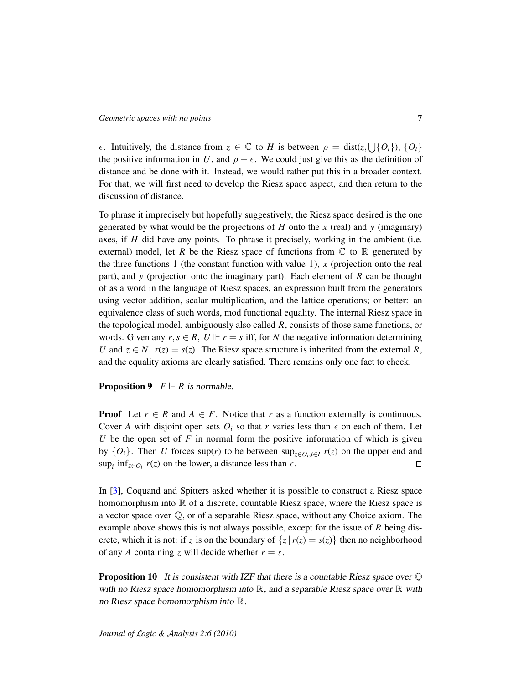*ε*. Intuitively, the distance from  $z \in \mathbb{C}$  to *H* is between  $\rho = \text{dist}(z, \bigcup \{O_i\}), \{O_i\}$ the positive information in *U*, and  $\rho + \epsilon$ . We could just give this as the definition of distance and be done with it. Instead, we would rather put this in a broader context. For that, we will first need to develop the Riesz space aspect, and then return to the discussion of distance.

To phrase it imprecisely but hopefully suggestively, the Riesz space desired is the one generated by what would be the projections of *H* onto the *x* (real) and *y* (imaginary) axes, if *H* did have any points. To phrase it precisely, working in the ambient (i.e. external) model, let *R* be the Riesz space of functions from  $\mathbb C$  to  $\mathbb R$  generated by the three functions 1 (the constant function with value 1), *x* (projection onto the real part), and *y* (projection onto the imaginary part). Each element of *R* can be thought of as a word in the language of Riesz spaces, an expression built from the generators using vector addition, scalar multiplication, and the lattice operations; or better: an equivalence class of such words, mod functional equality. The internal Riesz space in the topological model, ambiguously also called *R*, consists of those same functions, or words. Given any  $r, s \in R$ ,  $U \Vdash r = s$  iff, for *N* the negative information determining *U* and  $z \in N$ ,  $r(z) = s(z)$ . The Riesz space structure is inherited from the external *R*, and the equality axioms are clearly satisfied. There remains only one fact to check.

#### **Proposition 9**  $F \Vdash R$  is normable.

**Proof** Let  $r \in R$  and  $A \in F$ . Notice that *r* as a function externally is continuous. Cover *A* with disjoint open sets  $O_i$  so that *r* varies less than  $\epsilon$  on each of them. Let *U* be the open set of  $F$  in normal form the positive information of which is given by  $\{O_i\}$ . Then *U* forces sup(*r*) to be between sup<sub>*z*∈ $O_i$ ,*i*∈*I*</sub>  $r(z)$  on the upper end and sup<sub>*i*</sub> inf<sub>*z*∈*O<sub>i</sub>*</sub>  $r(z)$  on the lower, a distance less than  $\epsilon$ .  $\Box$ 

In [\[3\]](#page-8-2), Coquand and Spitters asked whether it is possible to construct a Riesz space homomorphism into  $\mathbb R$  of a discrete, countable Riesz space, where the Riesz space is a vector space over  $\mathbb{O}$ , or of a separable Riesz space, without any Choice axiom. The example above shows this is not always possible, except for the issue of *R* being discrete, which it is not: if *z* is on the boundary of  $\{z | r(z) = s(z)\}$  then no neighborhood of any *A* containing *z* will decide whether  $r = s$ .

**Proposition 10** It is consistent with IZF that there is a countable Riesz space over  $\mathbb{Q}$ with no Riesz space homomorphism into  $\mathbb{R}$ , and a separable Riesz space over  $\mathbb{R}$  with no Riesz space homomorphism into R.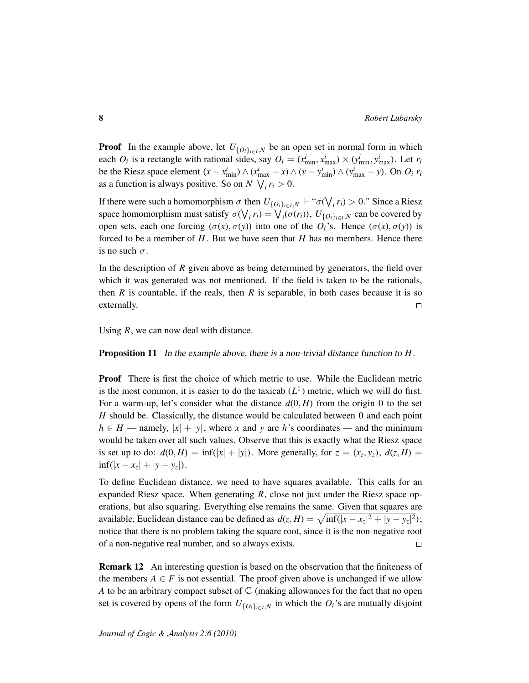**Proof** In the example above, let  $U_{\{O_i\}_{i \in I},N}$  be an open set in normal form in which each  $O_i$  is a rectangle with rational sides, say  $O_i = (x_{\min}^i, x_{\max}^i) \times (y_{\min}^i, y_{\max}^i)$ . Let  $r_i$ be the Riesz space element  $(x - x_{\min}^i) \wedge (x_{\max}^i - x) \wedge (y - y_{\min}^i) \wedge (y_{\max}^i - y)$ . On  $O_i$   $r_i$ as a function is always positive. So on  $N \setminus i \in I$ 

If there were such a homomorphism  $\sigma$  then  $U_{\{O_i\}_{i\in I},N}$   $\Vdash$  " $\sigma(\bigvee_i r_i) > 0$ ." Since a Riesz space homomorphism must satisfy  $\sigma(\bigvee_i r_i) = \bigvee_i (\sigma(r_i)), U_{\{O_i\}_{i \in I}, N}$  can be covered by open sets, each one forcing  $(\sigma(x), \sigma(y))$  into one of the  $O_i$ 's. Hence  $(\sigma(x), \sigma(y))$  is forced to be a member of *H*. But we have seen that *H* has no members. Hence there is no such  $\sigma$ .

In the description of *R* given above as being determined by generators, the field over which it was generated was not mentioned. If the field is taken to be the rationals, then *R* is countable, if the reals, then *R* is separable, in both cases because it is so externally.  $\Box$ 

Using *R*, we can now deal with distance.

Proposition 11 In the example above, there is a non-trivial distance function to *H*.

Proof There is first the choice of which metric to use. While the Euclidean metric is the most common, it is easier to do the taxicab  $(L<sup>1</sup>)$  metric, which we will do first. For a warm-up, let's consider what the distance  $d(0, H)$  from the origin 0 to the set *H* should be. Classically, the distance would be calculated between 0 and each point  $h \in H$  — namely,  $|x| + |y|$ , where *x* and *y* are *h*'s coordinates — and the minimum would be taken over all such values. Observe that this is exactly what the Riesz space is set up to do:  $d(0, H) = \inf(|x| + |y|)$ . More generally, for  $z = (x_z, y_z)$ ,  $d(z, H) =$  $\inf(|x - x_z| + |y - y_z|).$ 

To define Euclidean distance, we need to have squares available. This calls for an expanded Riesz space. When generating *R*, close not just under the Riesz space operations, but also squaring. Everything else remains the same. Given that squares are available, Euclidean distance can be defined as  $d(z, H) = \sqrt{\inf(|x - x_z|^2 + |y - y_z|^2});$ notice that there is no problem taking the square root, since it is the non-negative root of a non-negative real number, and so always exists.  $\Box$ 

Remark 12 An interesting question is based on the observation that the finiteness of the members  $A \in F$  is not essential. The proof given above is unchanged if we allow *A* to be an arbitrary compact subset of  $\mathbb C$  (making allowances for the fact that no open set is covered by opens of the form  $U_{\{O_i\}_{i\in I},N}$  in which the  $O_i$ 's are mutually disjoint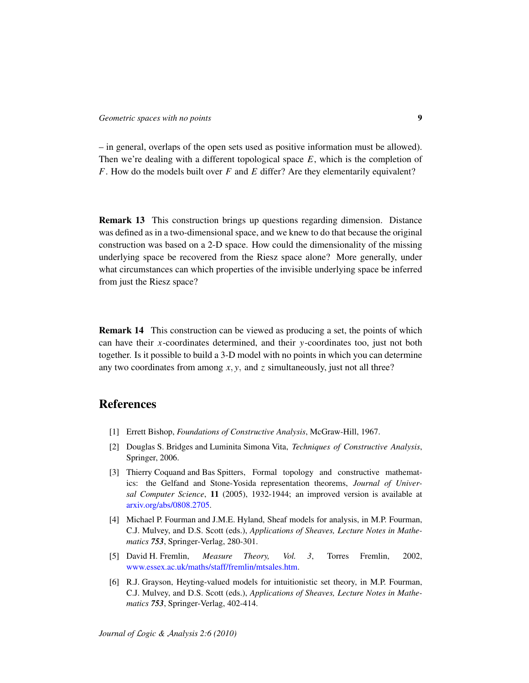– in general, overlaps of the open sets used as positive information must be allowed). Then we're dealing with a different topological space *E*, which is the completion of *F*. How do the models built over *F* and *E* differ? Are they elementarily equivalent?

Remark 13 This construction brings up questions regarding dimension. Distance was defined as in a two-dimensional space, and we knew to do that because the original construction was based on a 2-D space. How could the dimensionality of the missing underlying space be recovered from the Riesz space alone? More generally, under what circumstances can which properties of the invisible underlying space be inferred from just the Riesz space?

Remark 14 This construction can be viewed as producing a set, the points of which can have their *x*-coordinates determined, and their *y*-coordinates too, just not both together. Is it possible to build a 3-D model with no points in which you can determine any two coordinates from among *x*, *y*, and *z* simultaneously, just not all three?

## References

- <span id="page-8-3"></span>[1] Errett Bishop, *Foundations of Constructive Analysis*, McGraw-Hill, 1967.
- <span id="page-8-4"></span>[2] Douglas S. Bridges and Luminita Simona Vita, *Techniques of Constructive Analysis*, Springer, 2006.
- <span id="page-8-2"></span>[3] Thierry Coquand and Bas Spitters, Formal topology and constructive mathematics: the Gelfand and Stone-Yosida representation theorems, *Journal of Universal Computer Science*, 11 (2005), 1932-1944; an improved version is available at [arxiv.org/abs/0808.2705.](http://arxiv.org/abs/0808.2705)
- <span id="page-8-0"></span>[4] Michael P. Fourman and J.M.E. Hyland, Sheaf models for analysis, in M.P. Fourman, C.J. Mulvey, and D.S. Scott (eds.), *Applications of Sheaves, Lecture Notes in Mathematics 753*, Springer-Verlag, 280-301.
- <span id="page-8-1"></span>[5] David H. Fremlin, *Measure Theory, Vol. 3*, Torres Fremlin, 2002, [www.essex.ac.uk/maths/staff/fremlin/mtsales.htm.](http://www.essex.ac.uk/maths/staff/fremlin/mtsales.htm)
- <span id="page-8-5"></span>[6] R.J. Grayson, Heyting-valued models for intuitionistic set theory, in M.P. Fourman, C.J. Mulvey, and D.S. Scott (eds.), *Applications of Sheaves, Lecture Notes in Mathematics 753*, Springer-Verlag, 402-414.